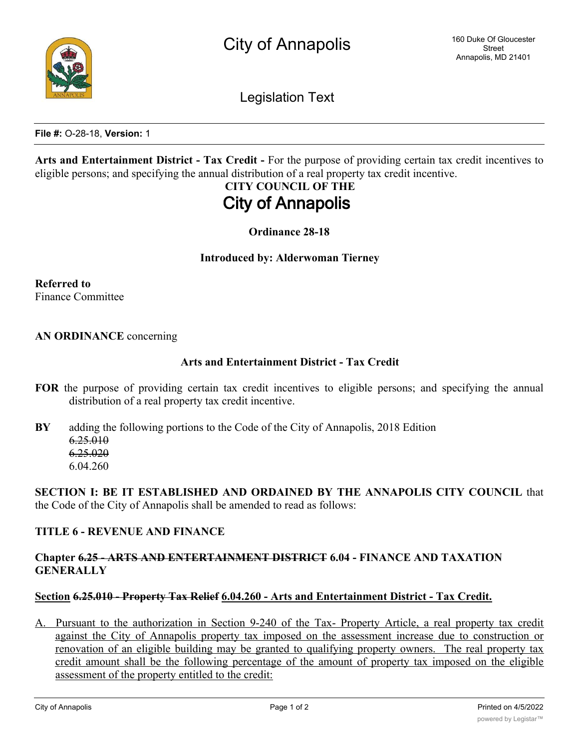Legislation Text

**File #:** O-28-18, **Version:** 1

**Arts and Entertainment District - Tax Credit -** For the purpose of providing certain tax credit incentives to eligible persons; and specifying the annual distribution of a real property tax credit incentive.

# **CITY COUNCIL OF THE City of Annapolis**

**Ordinance 28-18**

#### **Introduced by: Alderwoman Tierney**

**Referred to** Finance Committee

#### **AN ORDINANCE** concerning

#### **Arts and Entertainment District - Tax Credit**

- **FOR** the purpose of providing certain tax credit incentives to eligible persons; and specifying the annual distribution of a real property tax credit incentive.
- **BY** adding the following portions to the Code of the City of Annapolis, 2018 Edition 6.25.010 6.25.020 6.04.260

**SECTION I: BE IT ESTABLISHED AND ORDAINED BY THE ANNAPOLIS CITY COUNCIL** that the Code of the City of Annapolis shall be amended to read as follows:

#### **TITLE 6 - REVENUE AND FINANCE**

# **Chapter 6.25 - ARTS AND ENTERTAINMENT DISTRICT 6.04 - FINANCE AND TAXATION GENERALLY**

#### **Section 6.25.010 - Property Tax Relief 6.04.260 - Arts and Entertainment District - Tax Credit.**

A. Pursuant to the authorization in Section 9-240 of the Tax- Property Article, a real property tax credit against the City of Annapolis property tax imposed on the assessment increase due to construction or renovation of an eligible building may be granted to qualifying property owners. The real property tax credit amount shall be the following percentage of the amount of property tax imposed on the eligible assessment of the property entitled to the credit: